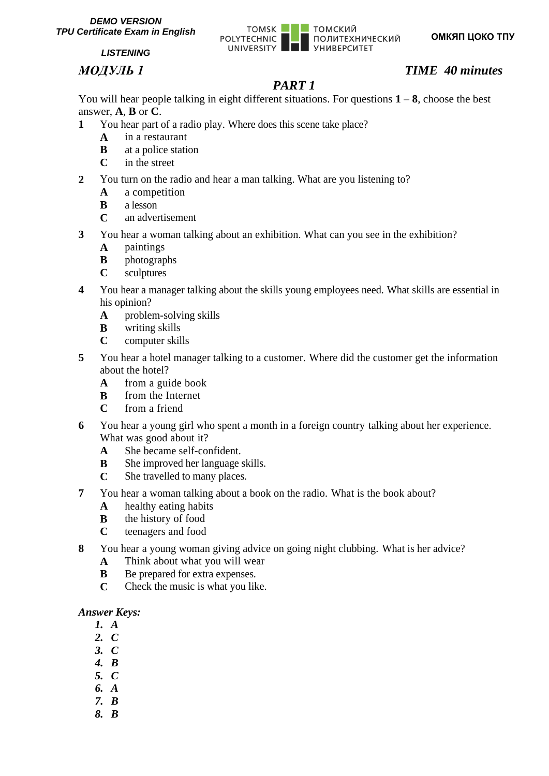

# *МОДУЛЬ 1 TIME 40 minutes*

# *PART 1*

You will hear people talking in eight different situations. For questions  $1 - 8$ , choose the best answer, **A**, **B** or **C**.

- **1** You hear part of a radio play. Where does this scene take place?
	- **A** in a restaurant
	- **B** at a police station
	- **C** in the street
- **2** You turn on the radio and hear a man talking. What are you listening to?
	- **A** a competition
	- **B** a lesson
	- **C** an advertisement
- **3** You hear a woman talking about an exhibition. What can you see in the exhibition?
	- **A** paintings
	- **B** photographs
	- **C** sculptures
- **4** You hear a manager talking about the skills young employees need. What skills are essential in his opinion?
	- **A** problem-solving skills
	- **B** writing skills
	- **C** computer skills
- **5** You hear a hotel manager talking to a customer. Where did the customer get the information about the hotel?
	- **A** from a guide book
	- **B** from the Internet
	- **C** from a friend
- **6** You hear a young girl who spent a month in a foreign country talking about her experience. What was good about it?
	- **A** She became self-confident.
	- **B** She improved her language skills.
	- **C** She travelled to many places.
- **7** You hear a woman talking about a book on the radio. What is the book about?
	- **A** healthy eating habits
	- **B** the history of food
	- **C** teenagers and food
- **8** You hear a young woman giving advice on going night clubbing. What is her advice?
	- **A** Think about what you will wear
	- **B** Be prepared for extra expenses.
	- **C** Check the music is what you like.

- *1. A*
- *2. C*
- *3. C*
- *4. B*
- *5. C*
- *6. A*
- *7. B*
- *8. B*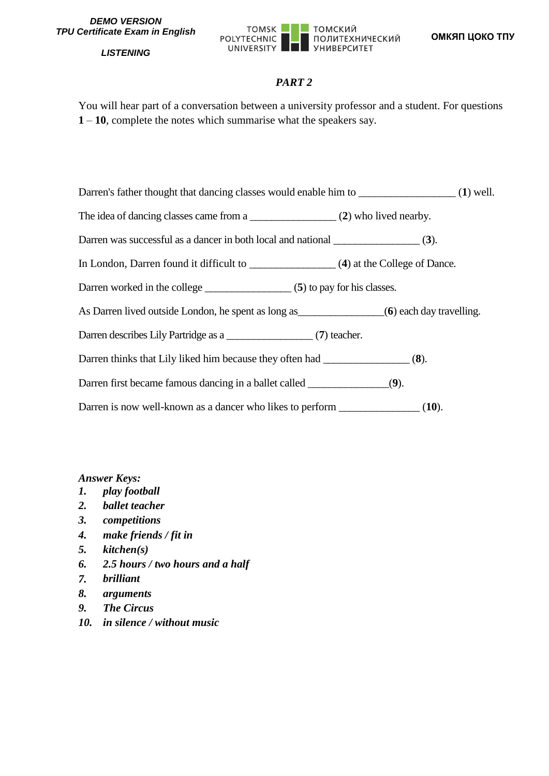

# *PART 2*

You will hear part of a conversation between a university professor and a student. For questions **1** – **10**, complete the notes which summarise what the speakers say.

| Darren's father thought that dancing classes would enable him to |  | $(1)$ well. |
|------------------------------------------------------------------|--|-------------|
|                                                                  |  |             |

The idea of dancing classes came from a \_\_\_\_\_\_\_\_\_\_\_\_\_\_\_\_\_\_ (2) who lived nearby.

Darren was successful as a dancer in both local and national \_\_\_\_\_\_\_\_\_\_\_\_\_\_\_\_ (**3**).

In London, Darren found it difficult to \_\_\_\_\_\_\_\_\_\_\_\_\_\_\_\_ (**4**) at the College of Dance.

Darren worked in the college \_\_\_\_\_\_\_\_\_\_\_\_\_\_\_\_\_ (5) to pay for his classes.

As Darren lived outside London, he spent as long as **(6)** each day travelling.

Darren describes Lily Partridge as a  $(7)$  teacher.

Darren thinks that Lily liked him because they often had  $(8)$ .

Darren first became famous dancing in a ballet called  $(9)$ .

Darren is now well-known as a dancer who likes to perform \_\_\_\_\_\_\_\_\_\_\_\_\_\_\_ (**10**).

- *1. play football*
- *2. ballet teacher*
- *3. competitions*
- *4. make friends / fit in*
- *5. kitchen(s)*
- *6. 2.5 hours / two hours and a half*
- *7. brilliant*
- *8. arguments*
- *9. The Circus*
- *10. in silence / without music*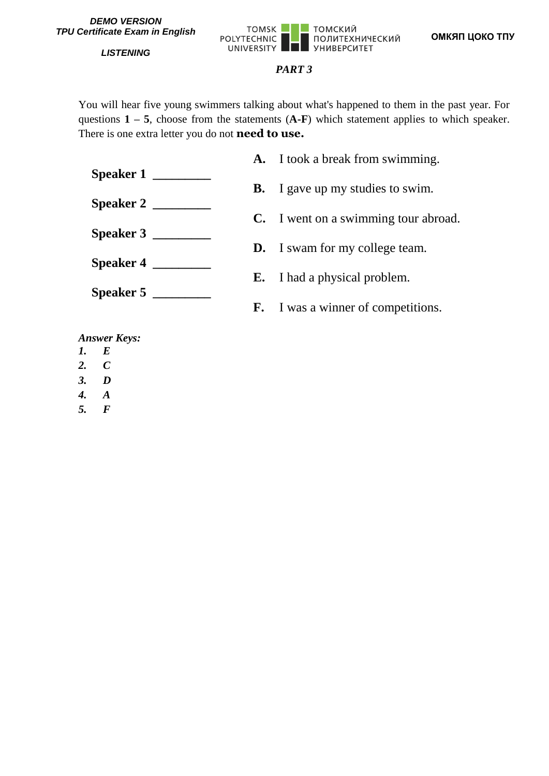

# *PART 3*

You will hear five young swimmers talking about what's happened to them in the past year. For questions  $1 - 5$ , choose from the statements  $(A-F)$  which statement applies to which speaker. There is one extra letter you do not **need to use.**

**Speaker 1 \_\_\_\_\_\_\_\_\_ Speaker 2 \_\_\_\_\_\_\_\_\_ Speaker 3 \_\_\_\_\_\_\_\_\_ Speaker 4 \_\_\_\_\_\_\_\_\_ Speaker 5 \_\_\_\_\_\_\_\_\_ A.** I took a break from swimming. **B.** I gave up my studies to swim. **C.** I went on a swimming tour abroad. **D.** I swam for my college team. **E.** I had a physical problem. **F.** I was a winner of competitions.

- *1. E*
- *2. C*
- *3. D*
- *4. A*
- *5. F*